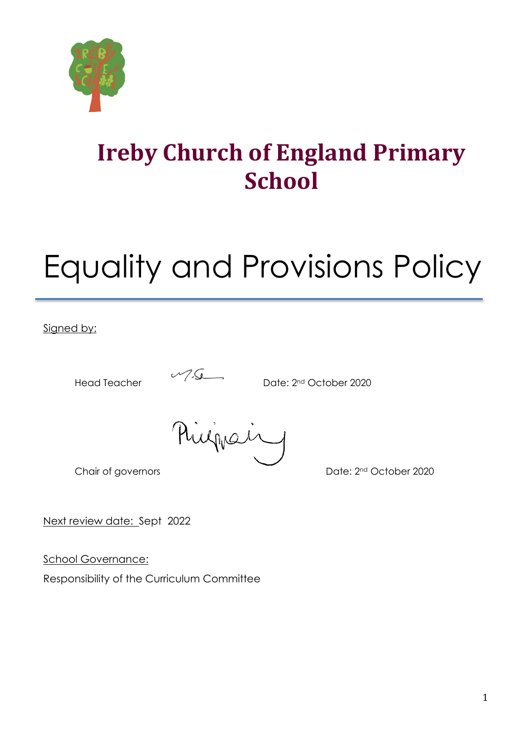

## **Ireby Church of England Primary School**

# Equality and Provisions Policy

#### Signed by:

Head Teacher 2020<br>Date: 2<sup>nd</sup> October 2020

Riegnain

Chair of governors and the contract of the Date: 2<sup>nd</sup> October 2020

Next review date: Sept 2022

School Governance:

Responsibility of the Curriculum Committee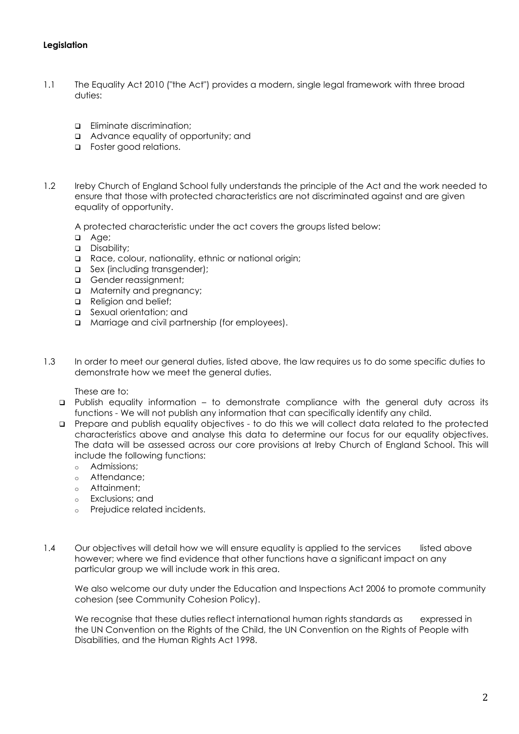#### **Legislation**

- 1.1 The Equality Act 2010 ("the Act") provides a modern, single legal framework with three broad duties:
	- Eliminate discrimination;
	- Advance equality of opportunity; and
	- **D** Foster good relations.
- 1.2 Ireby Church of England School fully understands the principle of the Act and the work needed to ensure that those with protected characteristics are not discriminated against and are given equality of opportunity.

A protected characteristic under the act covers the groups listed below:

- Age;
- Disability;
- Race, colour, nationality, ethnic or national origin;
- □ Sex (including transgender);
- Gender reassignment;
- **a** Maternity and pregnancy;
- Religion and belief;
- Sexual orientation; and
- □ Marriage and civil partnership (for employees).
- 1.3 In order to meet our general duties, listed above, the law requires us to do some specific duties to demonstrate how we meet the general duties.

These are to:

- Publish equality information to demonstrate compliance with the general duty across its functions - We will not publish any information that can specifically identify any child.
- Prepare and publish equality objectives to do this we will collect data related to the protected characteristics above and analyse this data to determine our focus for our equality objectives. The data will be assessed across our core provisions at Ireby Church of England School. This will include the following functions:
	- o Admissions;
	- o Attendance;
	- o Attainment;
	- o Exclusions; and
	- o Prejudice related incidents.
- 1.4 Our objectives will detail how we will ensure equality is applied to the services listed above however; where we find evidence that other functions have a significant impact on any particular group we will include work in this area.

We also welcome our duty under the Education and Inspections Act 2006 to promote community cohesion (see Community Cohesion Policy).

We recognise that these duties reflect international human rights standards as expressed in the UN Convention on the Rights of the Child, the UN Convention on the Rights of People with Disabilities, and the Human Rights Act 1998.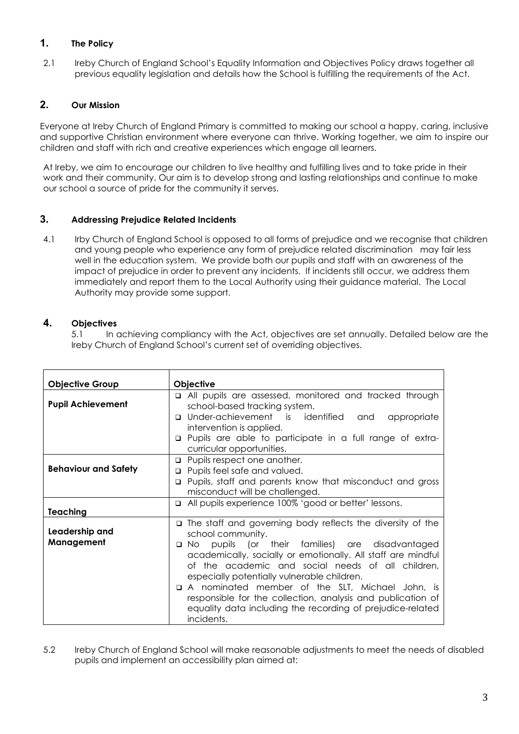#### **1. The Policy**

2.1 Ireby Church of England School's Equality Information and Objectives Policy draws together all previous equality legislation and details how the School is fulfilling the requirements of the Act.

#### **2. Our Mission**

Everyone at Ireby Church of England Primary is committed to making our school a happy, caring, inclusive and supportive Christian environment where everyone can thrive. Working together, we aim to inspire our children and staff with rich and creative experiences which engage all learners.

At Ireby, we aim to encourage our children to live healthy and fulfilling lives and to take pride in their work and their community. Our aim is to develop strong and lasting relationships and continue to make our school a source of pride for the community it serves.

#### **3. Addressing Prejudice Related Incidents**

4.1 Irby Church of England School is opposed to all forms of prejudice and we recognise that children and young people who experience any form of prejudice related discrimination may fair less well in the education system. We provide both our pupils and staff with an awareness of the impact of prejudice in order to prevent any incidents. If incidents still occur, we address them immediately and report them to the Local Authority using their guidance material. The Local Authority may provide some support.

### **4. Objectives**

In achieving compliancy with the Act, objectives are set annually. Detailed below are the Ireby Church of England School's current set of overriding objectives.

| <b>Objective Group</b>       | Objective                                                                                                                                                                                                                                                                                                                                                                                                                                                                                                                  |
|------------------------------|----------------------------------------------------------------------------------------------------------------------------------------------------------------------------------------------------------------------------------------------------------------------------------------------------------------------------------------------------------------------------------------------------------------------------------------------------------------------------------------------------------------------------|
| <b>Pupil Achievement</b>     | All pupils are assessed, monitored and tracked through<br>$\Box$<br>school-based tracking system.<br>Under-achievement is identified and<br>appropriate<br>$\Box$<br>intervention is applied.<br>p Pupils are able to participate in a full range of extra-<br>curricular opportunities.                                                                                                                                                                                                                                   |
| <b>Behaviour and Safety</b>  | Pupils respect one another.<br>$\Box$<br>Pupils feel safe and valued.<br>▫<br>Pupils, staff and parents know that misconduct and gross<br>□<br>misconduct will be challenged.                                                                                                                                                                                                                                                                                                                                              |
| Teaching                     | All pupils experience 100% 'good or better' lessons.<br>$\Box$                                                                                                                                                                                                                                                                                                                                                                                                                                                             |
| Leadership and<br>Management | □ The staff and governing body reflects the diversity of the<br>school community.<br>No pupils (or their families) are disadvantaged<br>$\Box$<br>academically, socially or emotionally. All staff are mindful<br>of the academic and social needs of all children,<br>especially potentially vulnerable children.<br>A nominated member of the SLT, Michael John, is<br>$\Box$<br>responsible for the collection, analysis and publication of<br>equality data including the recording of prejudice-related<br>incidents. |

5.2 Ireby Church of England School will make reasonable adjustments to meet the needs of disabled pupils and implement an accessibility plan aimed at: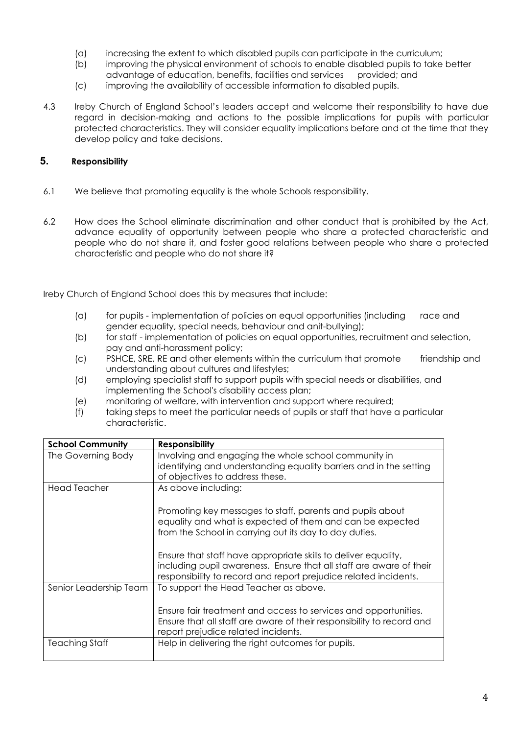- (a) increasing the extent to which disabled pupils can participate in the curriculum;
- (b) improving the physical environment of schools to enable disabled pupils to take better advantage of education, benefits, facilities and services provided; and
- advantage of education, benefits, facilities and services (c) improving the availability of accessible information to disabled pupils.
- 
- 4.3 Ireby Church of England School's leaders accept and welcome their responsibility to have due regard in decision-making and actions to the possible implications for pupils with particular protected characteristics. They will consider equality implications before and at the time that they develop policy and take decisions.

#### **5. Responsibility**

- 6.1 We believe that promoting equality is the whole Schools responsibility.
- 6.2 How does the School eliminate discrimination and other conduct that is prohibited by the Act, advance equality of opportunity between people who share a protected characteristic and people who do not share it, and foster good relations between people who share a protected characteristic and people who do not share it?

Ireby Church of England School does this by measures that include:

- (a) for pupils implementation of policies on equal opportunities (including race and gender equality, special needs, behaviour and anit-bullying);
- (b) for staff implementation of policies on equal opportunities, recruitment and selection, pay and anti-harassment policy;
- (c) PSHCE, SRE, RE and other elements within the curriculum that promote friendship and understanding about cultures and lifestyles;
- (d) employing specialist staff to support pupils with special needs or disabilities, and implementing the School's disability access plan;
- (e) monitoring of welfare, with intervention and support where required;
- (f) taking steps to meet the particular needs of pupils or staff that have a particular characteristic.

| <b>School Community</b> | <b>Responsibility</b>                                                                                                                                                                                     |
|-------------------------|-----------------------------------------------------------------------------------------------------------------------------------------------------------------------------------------------------------|
| The Governing Body      | Involving and engaging the whole school community in<br>identifying and understanding equality barriers and in the setting                                                                                |
|                         | of objectives to address these.                                                                                                                                                                           |
| <b>Head Teacher</b>     | As above including:                                                                                                                                                                                       |
|                         | Promoting key messages to staff, parents and pupils about<br>equality and what is expected of them and can be expected<br>from the School in carrying out its day to day duties.                          |
|                         | Ensure that staff have appropriate skills to deliver equality,<br>including pupil awareness. Ensure that all staff are aware of their<br>responsibility to record and report prejudice related incidents. |
| Senior Leadership Team  | To support the Head Teacher as above.                                                                                                                                                                     |
|                         | Ensure fair treatment and access to services and opportunities.<br>Ensure that all staff are aware of their responsibility to record and<br>report prejudice related incidents.                           |
| <b>Teaching Staff</b>   | Help in delivering the right outcomes for pupils.                                                                                                                                                         |